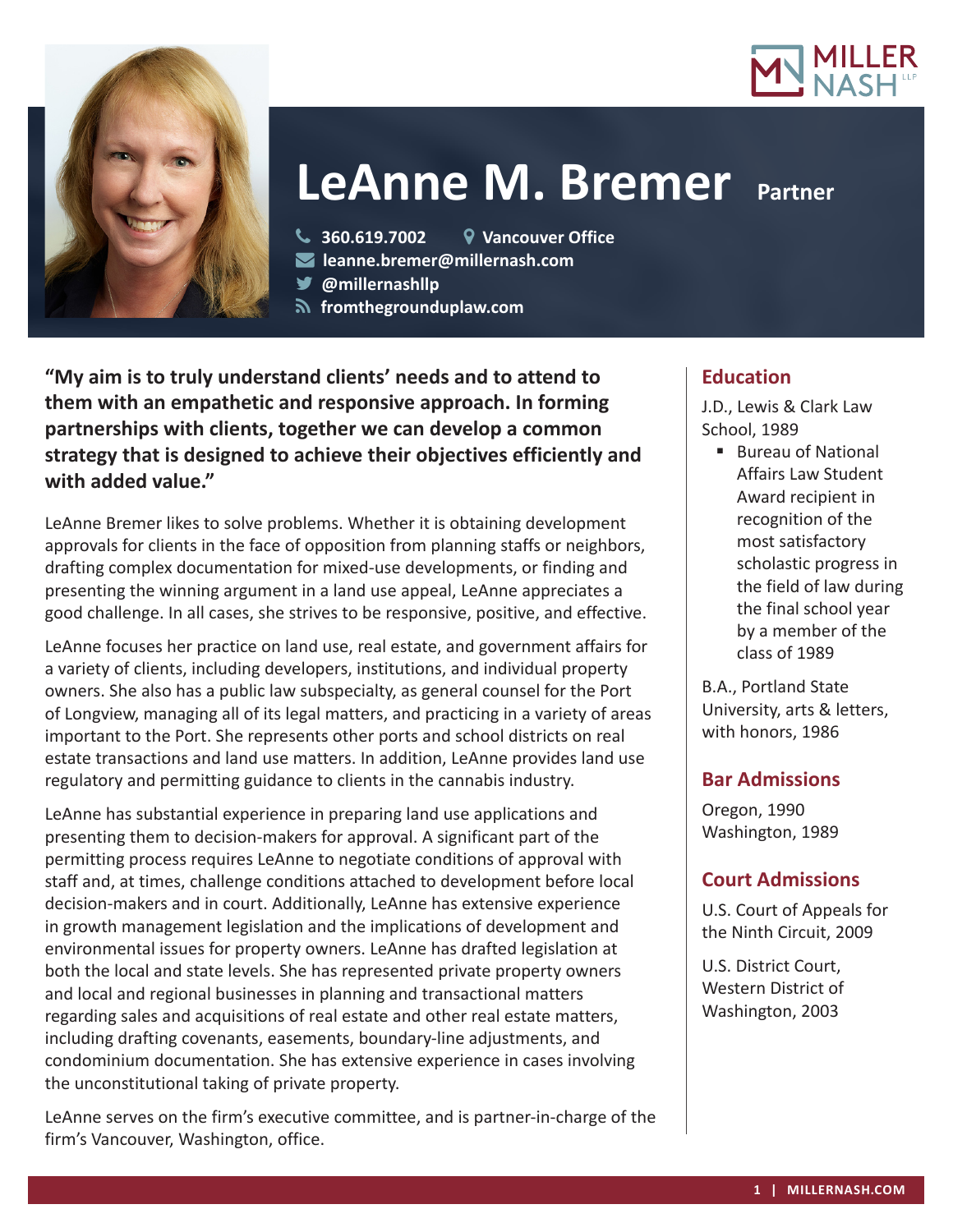



# **LeAnne M. Bremer Partner**

**360.619.7002 Vancouver Office**

**leanne.bremer@millernash.com** 

**@millernashllp**

 **fromthegrounduplaw.com**

**"My aim is to truly understand clients' needs and to attend to them with an empathetic and responsive approach. In forming partnerships with clients, together we can develop a common strategy that is designed to achieve their objectives efficiently and with added value."**

LeAnne Bremer likes to solve problems. Whether it is obtaining development approvals for clients in the face of opposition from planning staffs or neighbors, drafting complex documentation for mixed-use developments, or finding and presenting the winning argument in a land use appeal, LeAnne appreciates a good challenge. In all cases, she strives to be responsive, positive, and effective.

LeAnne focuses her practice on land use, real estate, and government affairs for a variety of clients, including developers, institutions, and individual property owners. She also has a public law subspecialty, as general counsel for the Port of Longview, managing all of its legal matters, and practicing in a variety of areas important to the Port. She represents other ports and school districts on real estate transactions and land use matters. In addition, LeAnne provides land use regulatory and permitting guidance to clients in the cannabis industry.

LeAnne has substantial experience in preparing land use applications and presenting them to decision-makers for approval. A significant part of the permitting process requires LeAnne to negotiate conditions of approval with staff and, at times, challenge conditions attached to development before local decision-makers and in court. Additionally, LeAnne has extensive experience in growth management legislation and the implications of development and environmental issues for property owners. LeAnne has drafted legislation at both the local and state levels. She has represented private property owners and local and regional businesses in planning and transactional matters regarding sales and acquisitions of real estate and other real estate matters, including drafting covenants, easements, boundary-line adjustments, and condominium documentation. She has extensive experience in cases involving the unconstitutional taking of private property.

LeAnne serves on the firm's executive committee, and is partner-in-charge of the firm's Vancouver, Washington, office.

## **Education**

J.D., Lewis & Clark Law School, 1989

■ Bureau of National Affairs Law Student Award recipient in recognition of the most satisfactory scholastic progress in the field of law during the final school year by a member of the class of 1989

B.A., Portland State University, arts & letters, with honors, 1986

## **Bar Admissions**

Oregon, 1990 Washington, 1989

## **Court Admissions**

U.S. Court of Appeals for the Ninth Circuit, 2009

U.S. District Court, Western District of Washington, 2003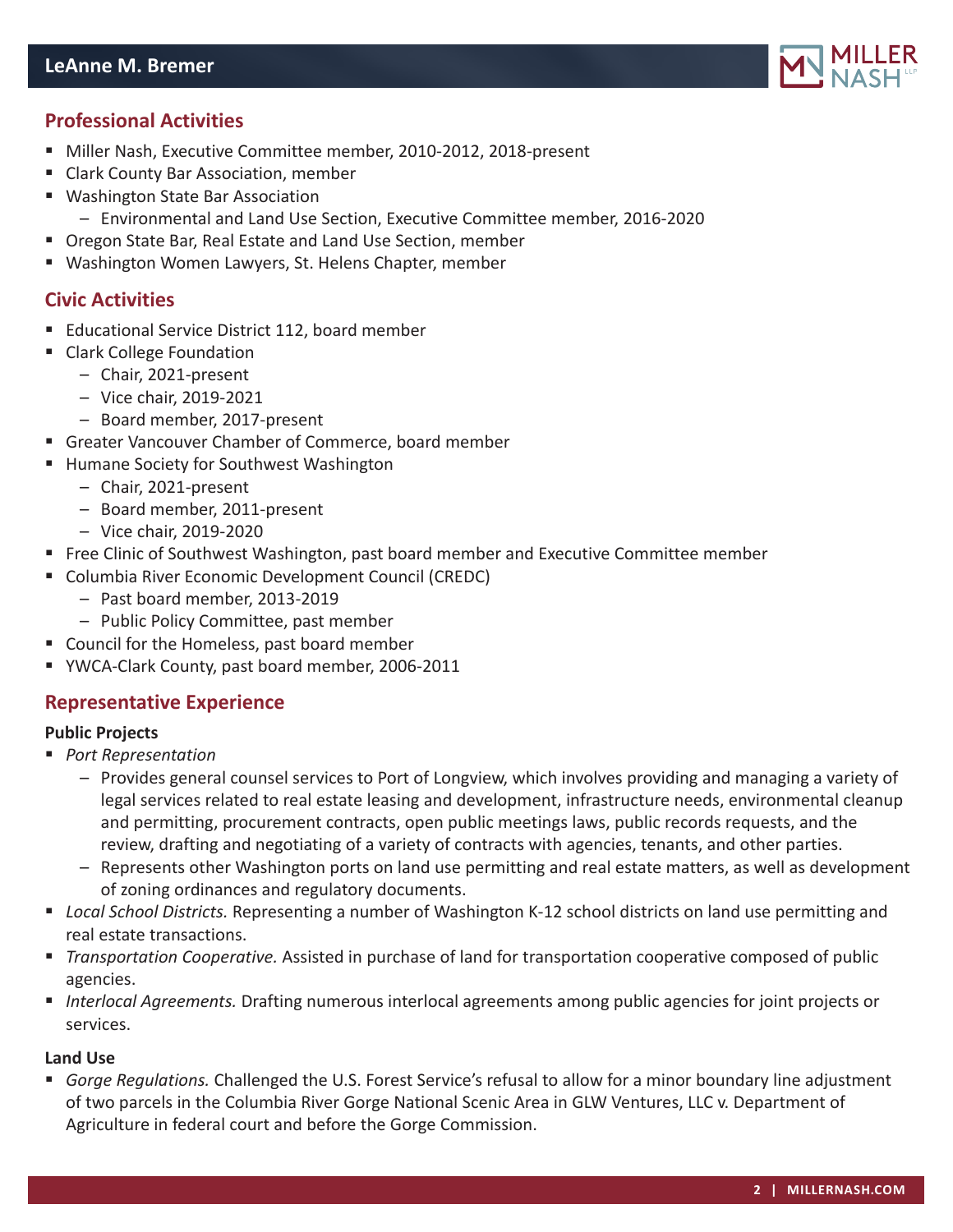

## **Professional Activities**

- Miller Nash, Executive Committee member, 2010-2012, 2018-present
- Clark County Bar Association, member
- Washington State Bar Association
	- Environmental and Land Use Section, Executive Committee member, 2016-2020
- Oregon State Bar, Real Estate and Land Use Section, member
- Washington Women Lawyers, St. Helens Chapter, member

## **Civic Activities**

- **Educational Service District 112, board member**
- Clark College Foundation
	- Chair, 2021-present
	- Vice chair, 2019-2021
	- Board member, 2017-present
- Greater Vancouver Chamber of Commerce, board member
- Humane Society for Southwest Washington
	- Chair, 2021-present
	- Board member, 2011-present
	- Vice chair, 2019-2020
- **Free Clinic of Southwest Washington, past board member and Executive Committee member**
- Columbia River Economic Development Council (CREDC)
	- Past board member, 2013-2019
	- Public Policy Committee, past member
- Council for the Homeless, past board member
- YWCA-Clark County, past board member, 2006-2011

## **Representative Experience**

#### **Public Projects**

- *Port Representation*
	- Provides general counsel services to Port of Longview, which involves providing and managing a variety of legal services related to real estate leasing and development, infrastructure needs, environmental cleanup and permitting, procurement contracts, open public meetings laws, public records requests, and the review, drafting and negotiating of a variety of contracts with agencies, tenants, and other parties.
	- Represents other Washington ports on land use permitting and real estate matters, as well as development of zoning ordinances and regulatory documents.
- *Local School Districts.* Representing a number of Washington K-12 school districts on land use permitting and real estate transactions.
- *Transportation Cooperative.* Assisted in purchase of land for transportation cooperative composed of public agencies.
- *Interlocal Agreements.* Drafting numerous interlocal agreements among public agencies for joint projects or services.

#### **Land Use**

 *Gorge Regulations.* Challenged the U.S. Forest Service's refusal to allow for a minor boundary line adjustment of two parcels in the Columbia River Gorge National Scenic Area in GLW Ventures, LLC v. Department of Agriculture in federal court and before the Gorge Commission.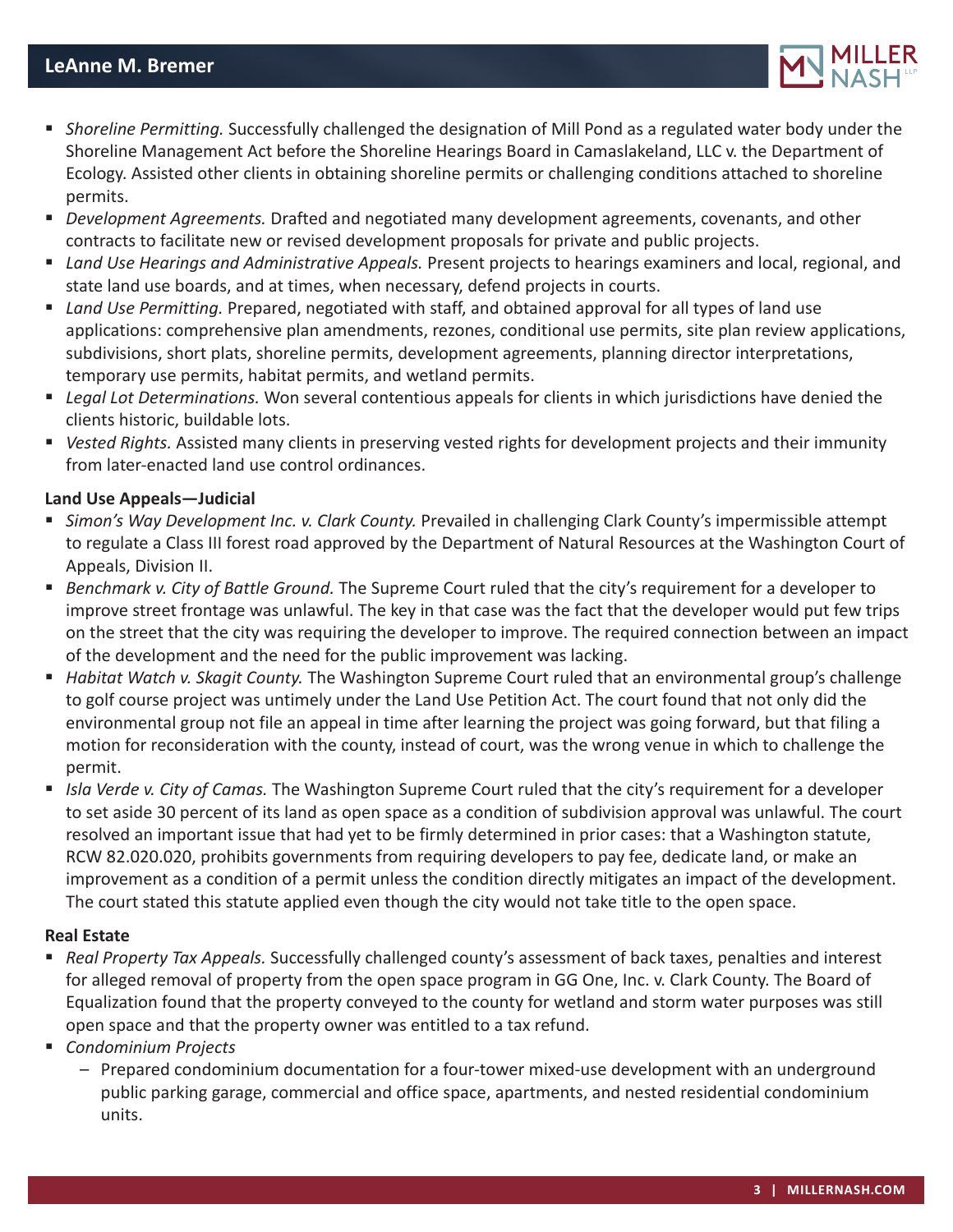

- *Shoreline Permitting.* Successfully challenged the designation of Mill Pond as a regulated water body under the Shoreline Management Act before the Shoreline Hearings Board in Camaslakeland, LLC v. the Department of Ecology. Assisted other clients in obtaining shoreline permits or challenging conditions attached to shoreline permits.
- *Development Agreements.* Drafted and negotiated many development agreements, covenants, and other contracts to facilitate new or revised development proposals for private and public projects.
- *Land Use Hearings and Administrative Appeals.* Present projects to hearings examiners and local, regional, and state land use boards, and at times, when necessary, defend projects in courts.
- *Land Use Permitting.* Prepared, negotiated with staff, and obtained approval for all types of land use applications: comprehensive plan amendments, rezones, conditional use permits, site plan review applications, subdivisions, short plats, shoreline permits, development agreements, planning director interpretations, temporary use permits, habitat permits, and wetland permits.
- *Legal Lot Determinations.* Won several contentious appeals for clients in which jurisdictions have denied the clients historic, buildable lots.
- *Vested Rights.* Assisted many clients in preserving vested rights for development projects and their immunity from later-enacted land use control ordinances.

#### **Land Use Appeals—Judicial**

- *Simon's Way Development Inc. v. Clark County.* Prevailed in challenging Clark County's impermissible attempt to regulate a Class III forest road approved by the Department of Natural Resources at the Washington Court of Appeals, Division II.
- *Benchmark v. City of Battle Ground.* The Supreme Court ruled that the city's requirement for a developer to improve street frontage was unlawful. The key in that case was the fact that the developer would put few trips on the street that the city was requiring the developer to improve. The required connection between an impact of the development and the need for the public improvement was lacking.
- *Habitat Watch v. Skagit County.* The Washington Supreme Court ruled that an environmental group's challenge to golf course project was untimely under the Land Use Petition Act. The court found that not only did the environmental group not file an appeal in time after learning the project was going forward, but that filing a motion for reconsideration with the county, instead of court, was the wrong venue in which to challenge the permit.
- *Isla Verde v. City of Camas.* The Washington Supreme Court ruled that the city's requirement for a developer to set aside 30 percent of its land as open space as a condition of subdivision approval was unlawful. The court resolved an important issue that had yet to be firmly determined in prior cases: that a Washington statute, RCW 82.020.020, prohibits governments from requiring developers to pay fee, dedicate land, or make an improvement as a condition of a permit unless the condition directly mitigates an impact of the development. The court stated this statute applied even though the city would not take title to the open space.

#### **Real Estate**

- *Real Property Tax Appeals.* Successfully challenged county's assessment of back taxes, penalties and interest for alleged removal of property from the open space program in GG One, Inc. v. Clark County. The Board of Equalization found that the property conveyed to the county for wetland and storm water purposes was still open space and that the property owner was entitled to a tax refund.
- *Condominium Projects*
	- Prepared condominium documentation for a four-tower mixed-use development with an underground public parking garage, commercial and office space, apartments, and nested residential condominium units.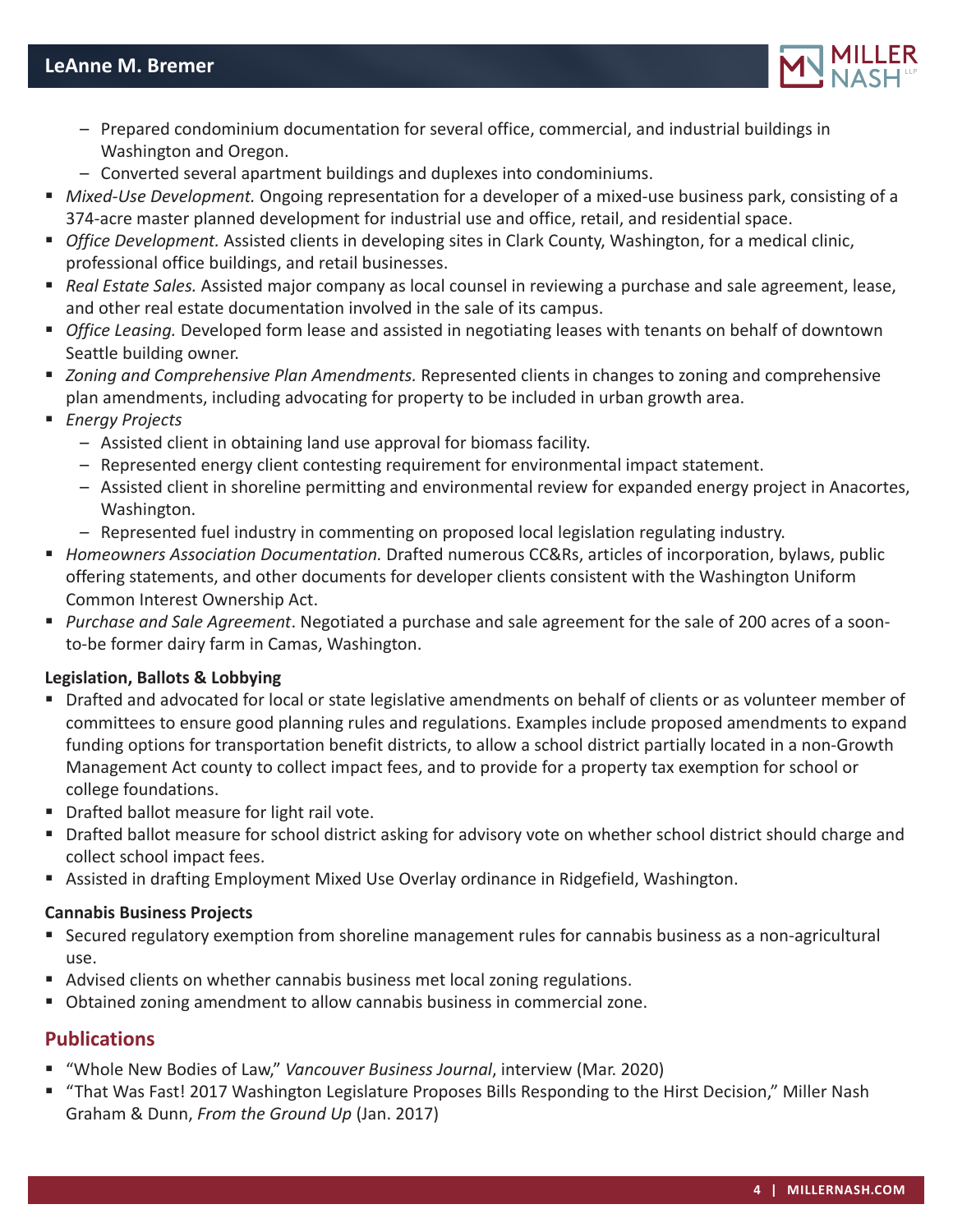

- Prepared condominium documentation for several office, commercial, and industrial buildings in Washington and Oregon.
- Converted several apartment buildings and duplexes into condominiums.
- *Mixed-Use Development.* Ongoing representation for a developer of a mixed-use business park, consisting of a 374-acre master planned development for industrial use and office, retail, and residential space.
- *Office Development.* Assisted clients in developing sites in Clark County, Washington, for a medical clinic, professional office buildings, and retail businesses.
- *Real Estate Sales.* Assisted major company as local counsel in reviewing a purchase and sale agreement, lease, and other real estate documentation involved in the sale of its campus.
- *Office Leasing.* Developed form lease and assisted in negotiating leases with tenants on behalf of downtown Seattle building owner.
- *Zoning and Comprehensive Plan Amendments.* Represented clients in changes to zoning and comprehensive plan amendments, including advocating for property to be included in urban growth area.
- *Energy Projects*
	- Assisted client in obtaining land use approval for biomass facility.
	- Represented energy client contesting requirement for environmental impact statement.
	- Assisted client in shoreline permitting and environmental review for expanded energy project in Anacortes, Washington.
	- Represented fuel industry in commenting on proposed local legislation regulating industry.
- *Homeowners Association Documentation.* Drafted numerous CC&Rs, articles of incorporation, bylaws, public offering statements, and other documents for developer clients consistent with the Washington Uniform Common Interest Ownership Act.
- *Purchase and Sale Agreement*. Negotiated a purchase and sale agreement for the sale of 200 acres of a soonto-be former dairy farm in Camas, Washington.

#### **Legislation, Ballots & Lobbying**

- Drafted and advocated for local or state legislative amendments on behalf of clients or as volunteer member of committees to ensure good planning rules and regulations. Examples include proposed amendments to expand funding options for transportation benefit districts, to allow a school district partially located in a non-Growth Management Act county to collect impact fees, and to provide for a property tax exemption for school or college foundations.
- **Drafted ballot measure for light rail vote.**
- **Drafted ballot measure for school district asking for advisory vote on whether school district should charge and** collect school impact fees.
- Assisted in drafting Employment Mixed Use Overlay ordinance in Ridgefield, Washington.

#### **Cannabis Business Projects**

- Secured regulatory exemption from shoreline management rules for cannabis business as a non-agricultural use.
- Advised clients on whether cannabis business met local zoning regulations.
- Obtained zoning amendment to allow cannabis business in commercial zone.

## **Publications**

- "Whole New Bodies of Law," *Vancouver Business Journal*, interview (Mar. 2020)
- "That Was Fast! 2017 Washington Legislature Proposes Bills Responding to the Hirst Decision," Miller Nash Graham & Dunn, *From the Ground Up* (Jan. 2017)